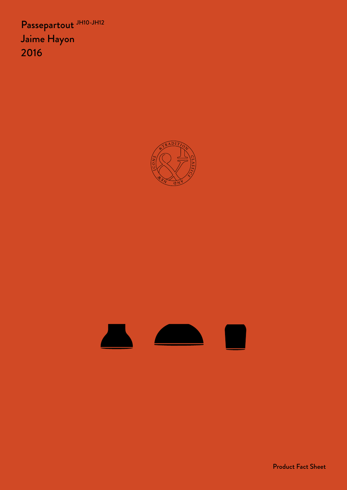Passepartout JH10-JH12 Jaime Hayon 2016





Product Fact Sheet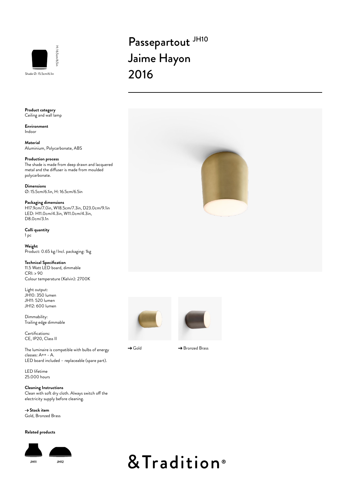

# Passepartout JH10 Jaime Hayon 2016

**Product category** Ceiling and wall lamp

**Environment** Indoor

**Material** Aluminium, Polycarbonate, ABS

### **Production process**

The shade is made from deep drawn and lacquered metal and the diffuser is made from moulded polycarbonate.

**Dimensions** Ø: 15.5cm/6.1in, H: 16.5cm/6.5in

**Packaging dimensions** H17.9cm/7.0in, W18.5cm/7.3in, D23.0cm/9.1in LED: H11.0cm/4.3in, W11.0cm/4.3in, D8.0cm/3.1n

**Colli quantity** 1 pc

**Weight** Product: 0.65 kg / Incl. packaging: 1kg

**Technical Specification** 11.5 Watt LED board, dimmable  $CRI: > 90$ Colour temperature (Kelvin): 2700K

Light output: JH10: 350 lumen JH11: 520 lumen JH12: 600 lumen

Dimmability: Trailing edge dimmable

Certifications: CE, IP20, Class II

The luminaire is compatible with bulbs of energy classes: A++ - A. LED board included – replaceable (spare part).

LED lifetime 25.000 hours

**Cleaning Instructions** Clean with soft dry cloth. Always switch off the electricity supply before cleaning.

→ Stock item Gold, Bronzed Brass

#### **Related products**





& Tradition<sup>®</sup>





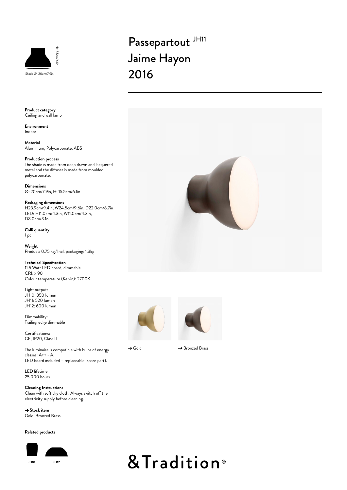

# Passepartout JH11 Jaime Hayon 2016



**Environment** Indoor

**Material** Aluminium, Polycarbonate, ABS

### **Production process**

The shade is made from deep drawn and lacquered metal and the diffuser is made from moulded polycarbonate.

**Dimensions** Ø: 20cm/7.9in, H: 15.5cm/6.1in

**Packaging dimensions** H23.9cm/9.4in, W24.5cm/9.6in, D22.0cm/8.7in LED: H11.0cm/4.3in, W11.0cm/4.3in, D8.0cm/3.1n

**Colli quantity** 1 pc

**Weight** Product: 0.75 kg /Incl. packaging: 1.3kg

**Technical Specification** 11.5 Watt LED board, dimmable CRI: > 90 Colour temperature (Kelvin): 2700K

Light output: JH10: 350 lumen JH11: 520 lumen JH12: 600 lumen

Dimmability: Trailing edge dimmable

Certifications: CE, IP20, Class II

The luminaire is compatible with bulbs of energy classes: A++ - A. LED board included – replaceable (spare part).

LED lifetime 25.000 hours

**Cleaning Instructions** Clean with soft dry cloth. Always switch off the electricity supply before cleaning.

→ Stock item Gold, Bronzed Brass

#### **Related products**